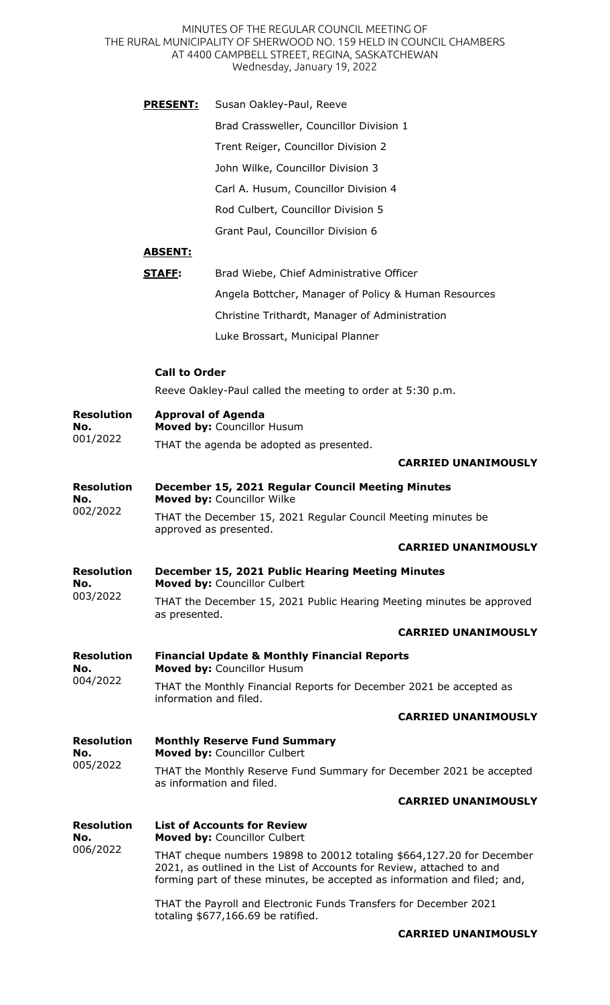MINUTES OF THE REGULAR COUNCIL MEETING OF THE RURAL MUNICIPALITY OF SHERWOOD NO. 159 HELD IN COUNCIL CHAMBERS AT 4400 CAMPBELL STREET, REGINA, SASKATCHEWAN Wednesday, January 19, 2022

|                                      | <u>PRESENT:</u>                                                                         | Susan Oakley-Paul, Reeve                                                              |  |  |
|--------------------------------------|-----------------------------------------------------------------------------------------|---------------------------------------------------------------------------------------|--|--|
|                                      |                                                                                         | Brad Crassweller, Councillor Division 1                                               |  |  |
|                                      |                                                                                         | Trent Reiger, Councillor Division 2                                                   |  |  |
|                                      |                                                                                         | John Wilke, Councillor Division 3                                                     |  |  |
|                                      |                                                                                         | Carl A. Husum, Councillor Division 4                                                  |  |  |
|                                      |                                                                                         | Rod Culbert, Councillor Division 5                                                    |  |  |
|                                      |                                                                                         | Grant Paul, Councillor Division 6                                                     |  |  |
|                                      | <u>ABSENT:</u>                                                                          |                                                                                       |  |  |
|                                      | <b>STAFF:</b>                                                                           | Brad Wiebe, Chief Administrative Officer                                              |  |  |
|                                      |                                                                                         | Angela Bottcher, Manager of Policy & Human Resources                                  |  |  |
|                                      |                                                                                         | Christine Trithardt, Manager of Administration                                        |  |  |
|                                      |                                                                                         | Luke Brossart, Municipal Planner                                                      |  |  |
|                                      |                                                                                         |                                                                                       |  |  |
|                                      | <b>Call to Order</b>                                                                    |                                                                                       |  |  |
|                                      |                                                                                         | Reeve Oakley-Paul called the meeting to order at 5:30 p.m.                            |  |  |
| <b>Resolution</b><br>No.             | <b>Approval of Agenda</b><br>Moved by: Councillor Husum                                 |                                                                                       |  |  |
| 001/2022                             |                                                                                         | THAT the agenda be adopted as presented.                                              |  |  |
|                                      |                                                                                         | <b>CARRIED UNANIMOUSLY</b>                                                            |  |  |
| <b>Resolution</b><br>No.<br>002/2022 |                                                                                         | December 15, 2021 Regular Council Meeting Minutes<br>Moved by: Councillor Wilke       |  |  |
|                                      | THAT the December 15, 2021 Regular Council Meeting minutes be<br>approved as presented. |                                                                                       |  |  |
|                                      |                                                                                         | <b>CARRIED UNANIMOUSLY</b>                                                            |  |  |
| <b>Resolution</b><br>No.<br>003/2022 | December 15, 2021 Public Hearing Meeting Minutes<br>Moved by: Councillor Culbert        |                                                                                       |  |  |
|                                      | as presented.                                                                           | THAT the December 15, 2021 Public Hearing Meeting minutes be approved                 |  |  |
|                                      |                                                                                         | <b>CARRIED UNANIMOUSLY</b>                                                            |  |  |
| <b>Resolution</b><br>No.<br>004/2022 |                                                                                         | <b>Financial Update &amp; Monthly Financial Reports</b><br>Moved by: Councillor Husum |  |  |
|                                      |                                                                                         | THAT the Monthly Financial Reports for December 2021 be accepted as                   |  |  |

**No.**  004/2022 THAT the Monthly Financial Reports for December 2021 be accepted as information and filed.

## **CARRIED UNANIMOUSLY**

**Resolution No.**  005/2022 **Monthly Reserve Fund Summary Moved by:** Councillor Culbert THAT the Monthly Reserve Fund Summary for December 2021 be accepted as information and filed.

## **CARRIED UNANIMOUSLY**

| <b>Resolution</b><br>No.<br>006/2022 | <b>List of Accounts for Review</b><br><b>Moved by: Councillor Culbert</b>                                                                                                                                                   |  |  |
|--------------------------------------|-----------------------------------------------------------------------------------------------------------------------------------------------------------------------------------------------------------------------------|--|--|
|                                      | THAT cheque numbers 19898 to 20012 totaling \$664,127.20 for December<br>2021, as outlined in the List of Accounts for Review, attached to and<br>forming part of these minutes, be accepted as information and filed; and, |  |  |
|                                      | THAT the Payroll and Electronic Funds Transfers for December 2021<br>totaling $$677,166.69$ be ratified.                                                                                                                    |  |  |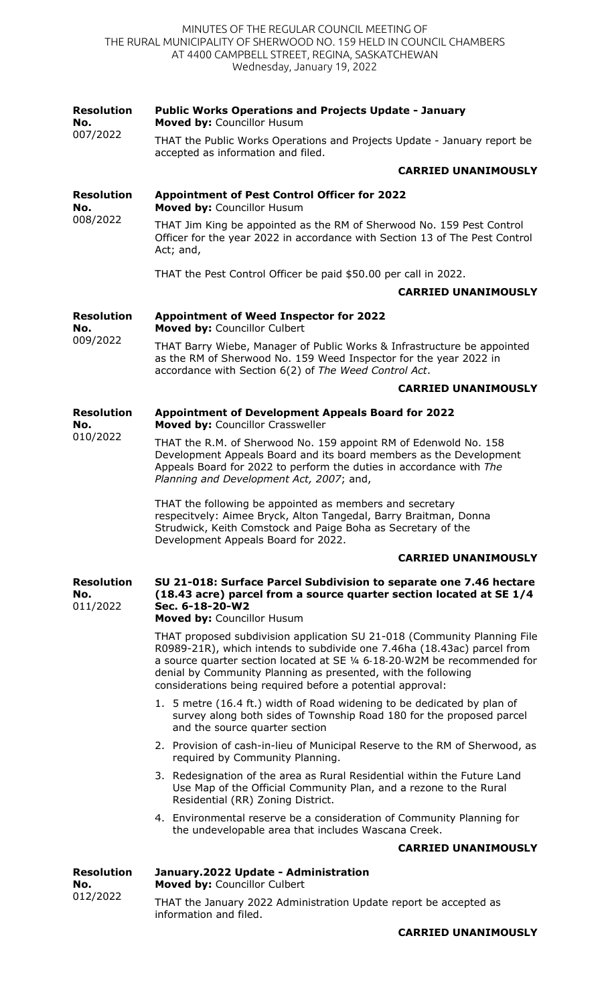| <b>Resolution</b><br>No.             | <b>Public Works Operations and Projects Update - January</b><br>Moved by: Councillor Husum                                                                                                                                                                                                                                                                                                    |  |
|--------------------------------------|-----------------------------------------------------------------------------------------------------------------------------------------------------------------------------------------------------------------------------------------------------------------------------------------------------------------------------------------------------------------------------------------------|--|
| 007/2022                             | THAT the Public Works Operations and Projects Update - January report be<br>accepted as information and filed.                                                                                                                                                                                                                                                                                |  |
|                                      | <b>CARRIED UNANIMOUSLY</b>                                                                                                                                                                                                                                                                                                                                                                    |  |
| <b>Resolution</b><br>No.             | <b>Appointment of Pest Control Officer for 2022</b><br>Moved by: Councillor Husum                                                                                                                                                                                                                                                                                                             |  |
| 008/2022                             | THAT Jim King be appointed as the RM of Sherwood No. 159 Pest Control<br>Officer for the year 2022 in accordance with Section 13 of The Pest Control<br>Act; and,                                                                                                                                                                                                                             |  |
|                                      | THAT the Pest Control Officer be paid \$50.00 per call in 2022.                                                                                                                                                                                                                                                                                                                               |  |
|                                      | <b>CARRIED UNANIMOUSLY</b>                                                                                                                                                                                                                                                                                                                                                                    |  |
| <b>Resolution</b><br>No.             | <b>Appointment of Weed Inspector for 2022</b><br>Moved by: Councillor Culbert                                                                                                                                                                                                                                                                                                                 |  |
| 009/2022                             | THAT Barry Wiebe, Manager of Public Works & Infrastructure be appointed<br>as the RM of Sherwood No. 159 Weed Inspector for the year 2022 in<br>accordance with Section 6(2) of The Weed Control Act.                                                                                                                                                                                         |  |
|                                      | <b>CARRIED UNANIMOUSLY</b>                                                                                                                                                                                                                                                                                                                                                                    |  |
| <b>Resolution</b><br>No.             | <b>Appointment of Development Appeals Board for 2022</b><br>Moved by: Councillor Crassweller                                                                                                                                                                                                                                                                                                  |  |
| 010/2022                             | THAT the R.M. of Sherwood No. 159 appoint RM of Edenwold No. 158<br>Development Appeals Board and its board members as the Development<br>Appeals Board for 2022 to perform the duties in accordance with The<br>Planning and Development Act, 2007; and,                                                                                                                                     |  |
|                                      | THAT the following be appointed as members and secretary<br>respecitvely: Aimee Bryck, Alton Tangedal, Barry Braitman, Donna<br>Strudwick, Keith Comstock and Paige Boha as Secretary of the<br>Development Appeals Board for 2022.                                                                                                                                                           |  |
|                                      | <b>CARRIED UNANIMOUSLY</b>                                                                                                                                                                                                                                                                                                                                                                    |  |
| <b>Resolution</b><br>No.<br>011/2022 | SU 21-018: Surface Parcel Subdivision to separate one 7.46 hectare<br>(18.43 acre) parcel from a source quarter section located at SE 1/4<br>Sec. 6-18-20-W2                                                                                                                                                                                                                                  |  |
|                                      | Moved by: Councillor Husum<br>THAT proposed subdivision application SU 21-018 (Community Planning File<br>R0989-21R), which intends to subdivide one 7.46ha (18.43ac) parcel from<br>a source quarter section located at SE 1/4 6-18-20-W2M be recommended for<br>denial by Community Planning as presented, with the following<br>considerations being required before a potential approval: |  |
|                                      | 1. 5 metre (16.4 ft.) width of Road widening to be dedicated by plan of<br>survey along both sides of Township Road 180 for the proposed parcel<br>and the source quarter section                                                                                                                                                                                                             |  |
|                                      | 2. Provision of cash-in-lieu of Municipal Reserve to the RM of Sherwood, as<br>required by Community Planning.                                                                                                                                                                                                                                                                                |  |
|                                      | 3. Redesignation of the area as Rural Residential within the Future Land<br>Use Map of the Official Community Plan, and a rezone to the Rural<br>Residential (RR) Zoning District.                                                                                                                                                                                                            |  |
|                                      | 4. Environmental reserve be a consideration of Community Planning for<br>the undevelopable area that includes Wascana Creek.                                                                                                                                                                                                                                                                  |  |
|                                      | <b>CARRIED UNANIMOUSLY</b>                                                                                                                                                                                                                                                                                                                                                                    |  |
| <b>Resolution</b><br>No.             | January.2022 Update - Administration<br>Moved by: Councillor Culbert                                                                                                                                                                                                                                                                                                                          |  |
| 012/2022                             | THAT the January 2022 Administration Update report be accepted as<br>information and filed.                                                                                                                                                                                                                                                                                                   |  |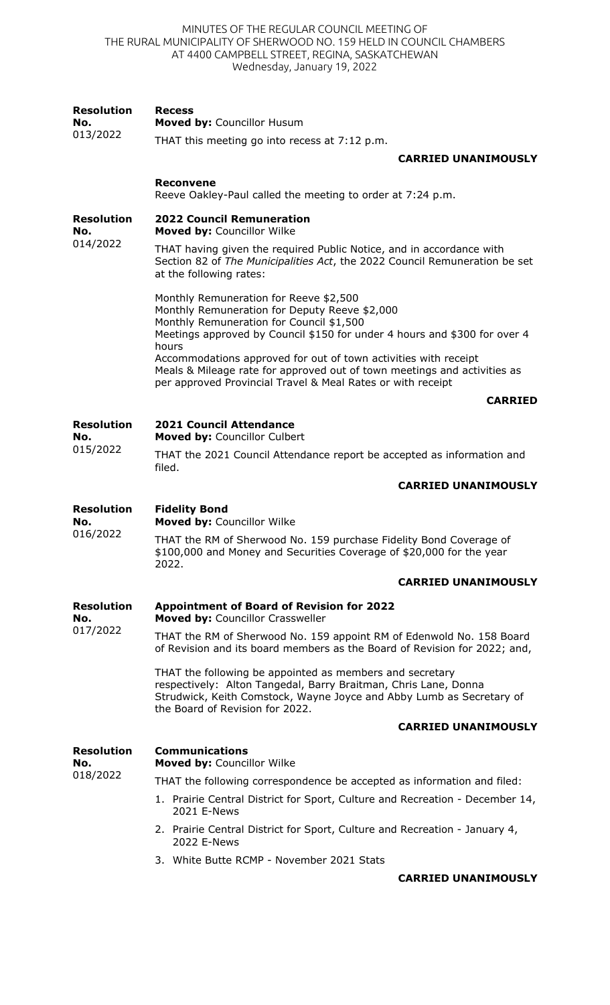MINUTES OF THE REGULAR COUNCIL MEETING OF THE RURAL MUNICIPALITY OF SHERWOOD NO. 159 HELD IN COUNCIL CHAMBERS AT 4400 CAMPBELL STREET, REGINA, SASKATCHEWAN Wednesday, January 19, 2022

| <b>Resolution</b><br>No.<br>013/2022 | <b>Recess</b><br>Moved by: Councillor Husum                                                                                                                                                                                            |
|--------------------------------------|----------------------------------------------------------------------------------------------------------------------------------------------------------------------------------------------------------------------------------------|
|                                      | THAT this meeting go into recess at 7:12 p.m.                                                                                                                                                                                          |
|                                      | <b>CARRIED UNANIMOUSLY</b>                                                                                                                                                                                                             |
|                                      | <b>Reconvene</b><br>Reeve Oakley-Paul called the meeting to order at 7:24 p.m.                                                                                                                                                         |
| <b>Resolution</b><br>No.             | <b>2022 Council Remuneration</b><br>Moved by: Councillor Wilke                                                                                                                                                                         |
| 014/2022                             | THAT having given the required Public Notice, and in accordance with<br>Section 82 of The Municipalities Act, the 2022 Council Remuneration be set<br>at the following rates:                                                          |
|                                      | Monthly Remuneration for Reeve \$2,500<br>Monthly Remuneration for Deputy Reeve \$2,000<br>Monthly Remuneration for Council \$1,500<br>Meetings approved by Council \$150 for under 4 hours and \$300 for over 4                       |
|                                      | hours<br>Accommodations approved for out of town activities with receipt<br>Meals & Mileage rate for approved out of town meetings and activities as<br>per approved Provincial Travel & Meal Rates or with receipt                    |
|                                      | <b>CARRIED</b>                                                                                                                                                                                                                         |
| <b>Resolution</b><br>No.             | <b>2021 Council Attendance</b><br>Moved by: Councillor Culbert                                                                                                                                                                         |
| 015/2022                             | THAT the 2021 Council Attendance report be accepted as information and<br>filed.                                                                                                                                                       |
|                                      | <b>CARRIED UNANIMOUSLY</b>                                                                                                                                                                                                             |
| <b>Resolution</b><br>No.<br>016/2022 | <b>Fidelity Bond</b><br>Moved by: Councillor Wilke                                                                                                                                                                                     |
|                                      | THAT the RM of Sherwood No. 159 purchase Fidelity Bond Coverage of<br>\$100,000 and Money and Securities Coverage of \$20,000 for the year<br>2022.                                                                                    |
|                                      | <b>CARRIED UNANIMOUSLY</b>                                                                                                                                                                                                             |
| <b>Resolution</b><br>No.             | <b>Appointment of Board of Revision for 2022</b><br>Moved by: Councillor Crassweller                                                                                                                                                   |
| 017/2022                             | THAT the RM of Sherwood No. 159 appoint RM of Edenwold No. 158 Board<br>of Revision and its board members as the Board of Revision for 2022; and,                                                                                      |
|                                      | THAT the following be appointed as members and secretary<br>respectively: Alton Tangedal, Barry Braitman, Chris Lane, Donna<br>Strudwick, Keith Comstock, Wayne Joyce and Abby Lumb as Secretary of<br>the Board of Revision for 2022. |
|                                      | <b>CARRIED UNANIMOUSLY</b>                                                                                                                                                                                                             |
| <b>Resolution</b><br>No.             | <b>Communications</b><br>Moved by: Councillor Wilke                                                                                                                                                                                    |
| 018/2022                             | THAT the following correspondence be accepted as information and filed:                                                                                                                                                                |
|                                      | 1. Prairie Central District for Sport, Culture and Recreation - December 14,<br>2021 E-News                                                                                                                                            |
|                                      | 2. Prairie Central District for Sport, Culture and Recreation - January 4,<br>2022 E-News                                                                                                                                              |
|                                      | 3. White Butte RCMP - November 2021 Stats                                                                                                                                                                                              |
|                                      | <b>CARRIED UNANIMOUSLY</b>                                                                                                                                                                                                             |